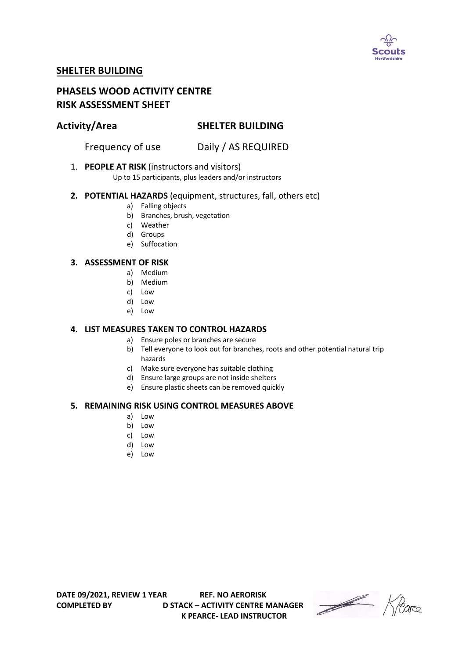

# **SHELTER BUILDING**

# **PHASELS WOOD ACTIVITY CENTRE RISK ASSESSMENT SHEET**

# **Activity/Area SHELTER BUILDING**

Frequency of use Daily / AS REQUIRED

### 1. **PEOPLE AT RISK** (instructors and visitors)

Up to 15 participants, plus leaders and/or instructors

### **2. POTENTIAL HAZARDS** (equipment, structures, fall, others etc)

- a) Falling objects
- b) Branches, brush, vegetation
- c) Weather
- d) Groups
- e) Suffocation

### **3. ASSESSMENT OF RISK**

- a) Medium
- b) Medium
- c) Low
- d) Low
- e) Low

#### **4. LIST MEASURES TAKEN TO CONTROL HAZARDS**

- a) Ensure poles or branches are secure
- b) Tell everyone to look out for branches, roots and other potential natural trip hazards
- c) Make sure everyone has suitable clothing
- d) Ensure large groups are not inside shelters
- e) Ensure plastic sheets can be removed quickly

#### **5. REMAINING RISK USING CONTROL MEASURES ABOVE**

- a) Low
- b) Low
- c) Low
- d) Low
- e) Low

**COMPLETED BY D STACK – ACTIVITY CENTRE MANAGER K PEARCE- LEAD INSTRUCTOR** 

Heare